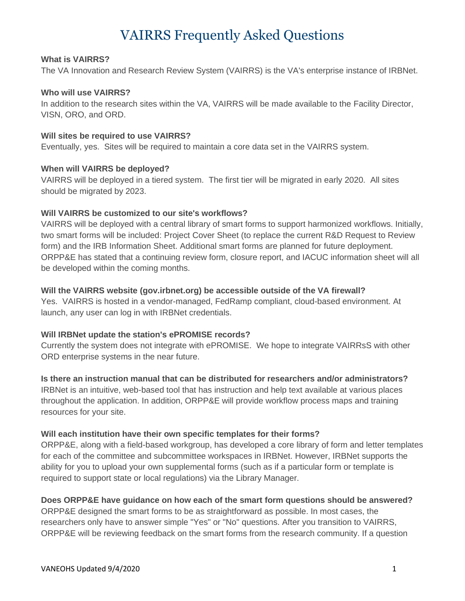# VAIRRS Frequently Asked Questions

## **What is VAIRRS?**

The VA Innovation and Research Review System (VAIRRS) is the VA's enterprise instance of IRBNet.

## **Who will use VAIRRS?**

In addition to the research sites within the VA, VAIRRS will be made available to the Facility Director, VISN, ORO, and ORD.

#### **Will sites be required to use VAIRRS?**

Eventually, yes. Sites will be required to maintain a core data set in the VAIRRS system.

#### **When will VAIRRS be deployed?**

VAIRRS will be deployed in a tiered system. The first tier will be migrated in early 2020. All sites should be migrated by 2023.

## **Will VAIRRS be customized to our site's workflows?**

VAIRRS will be deployed with a central library of smart forms to support harmonized workflows. Initially, two smart forms will be included: Project Cover Sheet (to replace the current R&D Request to Review form) and the IRB Information Sheet. Additional smart forms are planned for future deployment. ORPP&E has stated that a continuing review form, closure report, and IACUC information sheet will all be developed within the coming months.

## **Will the VAIRRS website (gov.irbnet.org) be accessible outside of the VA firewall?**

Yes. VAIRRS is hosted in a vendor-managed, FedRamp compliant, cloud-based environment. At launch, any user can log in with IRBNet credentials.

## **Will IRBNet update the station's ePROMISE records?**

Currently the system does not integrate with ePROMISE. We hope to integrate VAIRRsS with other ORD enterprise systems in the near future.

#### **Is there an instruction manual that can be distributed for researchers and/or administrators?**

IRBNet is an intuitive, web-based tool that has instruction and help text available at various places throughout the application. In addition, ORPP&E will provide workflow process maps and training resources for your site.

## **Will each institution have their own specific templates for their forms?**

ORPP&E, along with a field-based workgroup, has developed a core library of form and letter templates for each of the committee and subcommittee workspaces in IRBNet. However, IRBNet supports the ability for you to upload your own supplemental forms (such as if a particular form or template is required to support state or local regulations) via the Library Manager.

## **Does ORPP&E have guidance on how each of the smart form questions should be answered?**

ORPP&E designed the smart forms to be as straightforward as possible. In most cases, the researchers only have to answer simple "Yes" or "No" questions. After you transition to VAIRRS, ORPP&E will be reviewing feedback on the smart forms from the research community. If a question